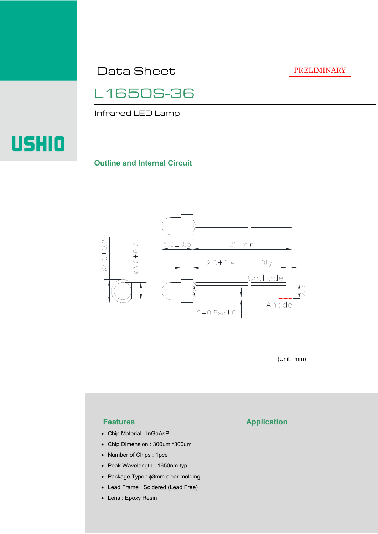Data Sheet

PRELIMINARY

L1650S-36

Infrared LED Lamp



### **Outline and Internal Circuit**



(Unit : mm)

- Chip Material : InGaAsP
- Chip Dimension : 300um \*300um
- Number of Chips : 1pce
- Peak Wavelength : 1650nm typ.
- Package Type : φ3mm clear molding
- Lead Frame : Soldered (Lead Free)
- Lens : Epoxy Resin

# **Features Application**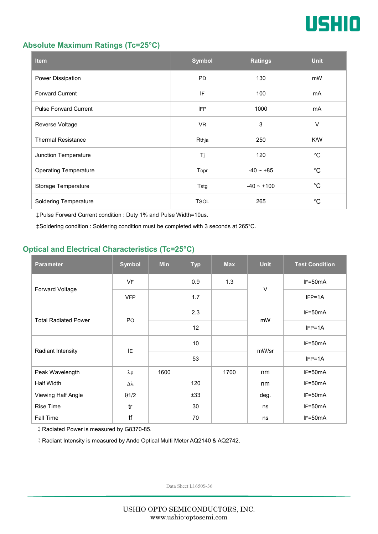

### **Absolute Maximum Ratings (Tc=25°C)**

| <b>Item</b>                  | <b>Symbol</b> | <b>Ratings</b> | <b>Unit</b> |
|------------------------------|---------------|----------------|-------------|
| Power Dissipation            | <b>PD</b>     | 130            | mW          |
| <b>Forward Current</b>       | IF            | 100            | mA          |
| <b>Pulse Forward Current</b> | <b>IFP</b>    | 1000           | mA          |
| Reverse Voltage              | VR.           | 3              | $\vee$      |
| <b>Thermal Resistance</b>    | Rthja         | 250            | K/W         |
| Junction Temperature         | Tj            | 120            | $^{\circ}C$ |
| <b>Operating Temperature</b> | Topr          | $-40 - +85$    | $^{\circ}C$ |
| Storage Temperature          | Tstg          | $-40 - +100$   | $^{\circ}C$ |
| <b>Soldering Temperature</b> | <b>TSOL</b>   | 265            | $^{\circ}C$ |

‡Pulse Forward Current condition : Duty 1% and Pulse Width=10us.

‡Soldering condition : Soldering condition must be completed with 3 seconds at 265°C.

## **Optical and Electrical Characteristics (Tc=25°C)**

| <b>Parameter</b>            | <b>Symbol</b>    | <b>Min</b> | <b>Typ</b> | <b>Max</b> | <b>Unit</b> | <b>Test Condition</b> |
|-----------------------------|------------------|------------|------------|------------|-------------|-----------------------|
| Forward Voltage             | <b>VF</b>        |            | 0.9        | 1.3        | $\vee$      | IF=50mA               |
|                             | <b>VFP</b>       |            | 1.7        |            |             | $IFP=1A$              |
| <b>Total Radiated Power</b> | P <sub>O</sub>   |            | 2.3        |            | mW          | $IF=50mA$             |
|                             |                  |            | 12         |            |             | $IFP=1A$              |
| Radiant Intensity           | IE               |            | 10         |            | mW/sr       | $IF=50mA$             |
|                             |                  |            | 53         |            |             | $IFP=1A$              |
| Peak Wavelength             | $\lambda$ p      | 1600       |            | 1700       | nm          | $IF=50mA$             |
| <b>Half Width</b>           | $\Delta \lambda$ |            | 120        |            | nm          | $IF=50mA$             |
| Viewing Half Angle          | $\theta$ 1/2     |            | ±33        |            | deg.        | $IF=50mA$             |
| <b>Rise Time</b>            | tr               |            | 30         |            | ns          | $IF=50mA$             |
| Fall Time                   | tf               |            | 70         |            | ns          | $IF=50mA$             |

‡Radiated Power is measured by G8370-85.

‡Radiant Intensity is measured by Ando Optical Multi Meter AQ2140 & AQ2742.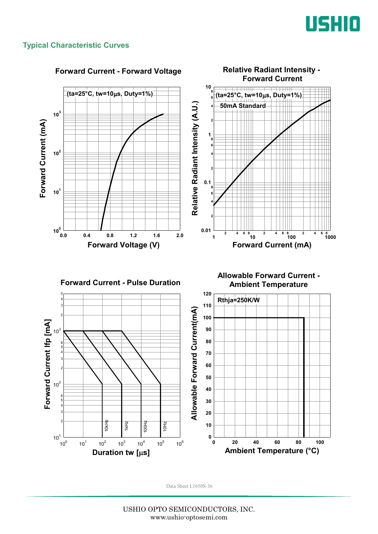

### **Typical Characteristic Curves**

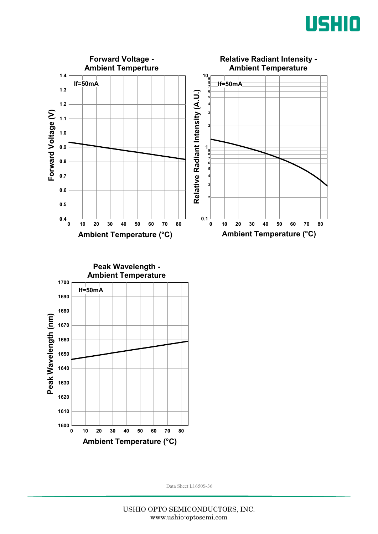



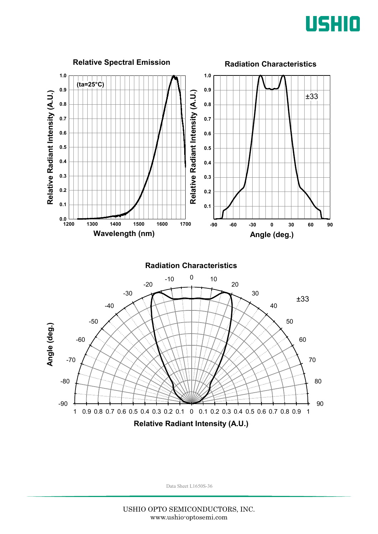